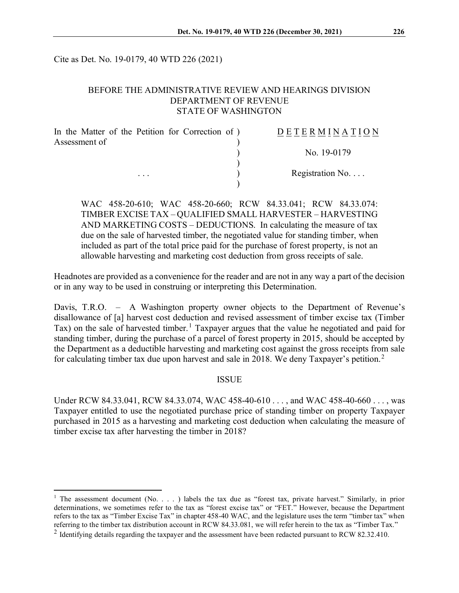Cite as Det. No. 19-0179, 40 WTD 226 (2021)

### BEFORE THE ADMINISTRATIVE REVIEW AND HEARINGS DIVISION DEPARTMENT OF REVENUE STATE OF WASHINGTON

| In the Matter of the Petition for Correction of ) | DETERMINATION            |
|---------------------------------------------------|--------------------------|
| Assessment of                                     |                          |
|                                                   | No. 19-0179              |
|                                                   |                          |
| $\cdots$                                          | Registration No. $\dots$ |
|                                                   |                          |

WAC 458-20-610; WAC 458-20-660; RCW 84.33.041; RCW 84.33.074: TIMBER EXCISE TAX – QUALIFIED SMALL HARVESTER – HARVESTING AND MARKETING COSTS – DEDUCTIONS. In calculating the measure of tax due on the sale of harvested timber, the negotiated value for standing timber, when included as part of the total price paid for the purchase of forest property, is not an allowable harvesting and marketing cost deduction from gross receipts of sale.

Headnotes are provided as a convenience for the reader and are not in any way a part of the decision or in any way to be used in construing or interpreting this Determination.

Davis, T.R.O. – A Washington property owner objects to the Department of Revenue's disallowance of [a] harvest cost deduction and revised assessment of timber excise tax (Timber Tax) on the sale of harvested timber.<sup>[1](#page-0-0)</sup> Taxpayer argues that the value he negotiated and paid for standing timber, during the purchase of a parcel of forest property in 2015, should be accepted by the Department as a deductible harvesting and marketing cost against the gross receipts from sale for calculating timber tax due upon harvest and sale in [2](#page-0-1)018. We deny Taxpayer's petition.<sup>2</sup>

#### ISSUE

Under RCW 84.33.041, RCW 84.33.074, WAC 458-40-610 . . . , and WAC 458-40-660 . . . , was Taxpayer entitled to use the negotiated purchase price of standing timber on property Taxpayer purchased in 2015 as a harvesting and marketing cost deduction when calculating the measure of timber excise tax after harvesting the timber in 2018?

<span id="page-0-0"></span><sup>&</sup>lt;sup>1</sup> The assessment document (No. . . . ) labels the tax due as "forest tax, private harvest." Similarly, in prior determinations, we sometimes refer to the tax as "forest excise tax" or "FET." However, because the Department refers to the tax as "Timber Excise Tax" in chapter 458-40 WAC, and the legislature uses the term "timber tax" when referring to the timber tax distribution account in RCW 84.33.081, we will refer herein to the tax as "Timber Tax."

<span id="page-0-1"></span> $2$  Identifying details regarding the taxpayer and the assessment have been redacted pursuant to RCW 82.32.410.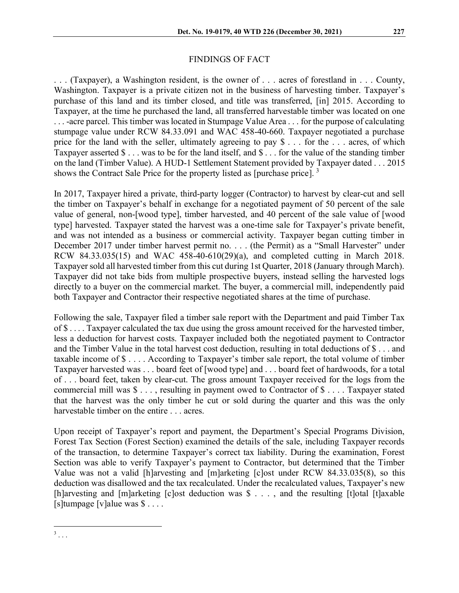# FINDINGS OF FACT

. . . (Taxpayer), a Washington resident, is the owner of . . . acres of forestland in . . . County, Washington. Taxpayer is a private citizen not in the business of harvesting timber. Taxpayer's purchase of this land and its timber closed, and title was transferred, [in] 2015. According to Taxpayer, at the time he purchased the land, all transferred harvestable timber was located on one . . . -acre parcel. This timber was located in Stumpage Value Area . . . for the purpose of calculating stumpage value under RCW 84.33.091 and WAC 458-40-660. Taxpayer negotiated a purchase price for the land with the seller, ultimately agreeing to pay \$ . . . for the . . . acres, of which Taxpayer asserted \$ . . . was to be for the land itself, and \$ . . . for the value of the standing timber on the land (Timber Value). A HUD-1 Settlement Statement provided by Taxpayer dated . . . 2015 shows the Contract Sale Price for the property listed as [purchase price].<sup>[3](#page-1-0)</sup>

In 2017, Taxpayer hired a private, third-party logger (Contractor) to harvest by clear-cut and sell the timber on Taxpayer's behalf in exchange for a negotiated payment of 50 percent of the sale value of general, non-[wood type], timber harvested, and 40 percent of the sale value of [wood type] harvested. Taxpayer stated the harvest was a one-time sale for Taxpayer's private benefit, and was not intended as a business or commercial activity. Taxpayer began cutting timber in December 2017 under timber harvest permit no. . . . (the Permit) as a "Small Harvester" under RCW 84.33.035(15) and WAC 458-40-610(29)(a), and completed cutting in March 2018. Taxpayer sold all harvested timber from this cut during 1st Quarter, 2018 (January through March). Taxpayer did not take bids from multiple prospective buyers, instead selling the harvested logs directly to a buyer on the commercial market. The buyer, a commercial mill, independently paid both Taxpayer and Contractor their respective negotiated shares at the time of purchase.

Following the sale, Taxpayer filed a timber sale report with the Department and paid Timber Tax of \$ . . . . Taxpayer calculated the tax due using the gross amount received for the harvested timber, less a deduction for harvest costs. Taxpayer included both the negotiated payment to Contractor and the Timber Value in the total harvest cost deduction, resulting in total deductions of \$ . . . and taxable income of \$ . . . . According to Taxpayer's timber sale report, the total volume of timber Taxpayer harvested was . . . board feet of [wood type] and . . . board feet of hardwoods, for a total of . . . board feet, taken by clear-cut. The gross amount Taxpayer received for the logs from the commercial mill was \$ . . . , resulting in payment owed to Contractor of \$ . . . . Taxpayer stated that the harvest was the only timber he cut or sold during the quarter and this was the only harvestable timber on the entire . . . acres.

Upon receipt of Taxpayer's report and payment, the Department's Special Programs Division, Forest Tax Section (Forest Section) examined the details of the sale, including Taxpayer records of the transaction, to determine Taxpayer's correct tax liability. During the examination, Forest Section was able to verify Taxpayer's payment to Contractor, but determined that the Timber Value was not a valid [h]arvesting and [m]arketing [c]ost under RCW 84.33.035(8), so this deduction was disallowed and the tax recalculated. Under the recalculated values, Taxpayer's new [h]arvesting and [m]arketing [c]ost deduction was \$ . . . , and the resulting [t]otal [t]axable  $[s]$ tumpage  $[v]$ alue was  $\$ \dots$ .

<span id="page-1-0"></span> $3 \ldots$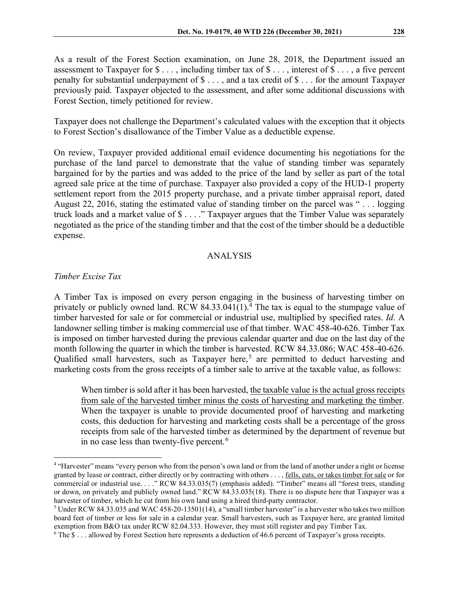As a result of the Forest Section examination, on June 28, 2018, the Department issued an assessment to Taxpayer for  $\$\ldots$ , including timber tax of  $\$\ldots$ , interest of  $\$\ldots$ , a five percent penalty for substantial underpayment of \$ . . . , and a tax credit of \$ . . . for the amount Taxpayer previously paid. Taxpayer objected to the assessment, and after some additional discussions with Forest Section, timely petitioned for review.

Taxpayer does not challenge the Department's calculated values with the exception that it objects to Forest Section's disallowance of the Timber Value as a deductible expense.

On review, Taxpayer provided additional email evidence documenting his negotiations for the purchase of the land parcel to demonstrate that the value of standing timber was separately bargained for by the parties and was added to the price of the land by seller as part of the total agreed sale price at the time of purchase. Taxpayer also provided a copy of the HUD-1 property settlement report from the 2015 property purchase, and a private timber appraisal report, dated August 22, 2016, stating the estimated value of standing timber on the parcel was " . . . logging truck loads and a market value of \$ . . . ." Taxpayer argues that the Timber Value was separately negotiated as the price of the standing timber and that the cost of the timber should be a deductible expense.

#### ANALYSIS

#### *Timber Excise Tax*

A Timber Tax is imposed on every person engaging in the business of harvesting timber on privately or publicly owned land. RCW  $84.33.041(1)$  $84.33.041(1)$  $84.33.041(1)$ .<sup>4</sup> The tax is equal to the stumpage value of timber harvested for sale or for commercial or industrial use, multiplied by specified rates. *Id*. A landowner selling timber is making commercial use of that timber. WAC 458-40-626. Timber Tax is imposed on timber harvested during the previous calendar quarter and due on the last day of the month following the quarter in which the timber is harvested. RCW 84.33.086; WAC 458-40-626. Qualified small harvesters, such as Taxpayer here, [5](#page-2-1) are permitted to deduct harvesting and marketing costs from the gross receipts of a timber sale to arrive at the taxable value, as follows:

When timber is sold after it has been harvested, the taxable value is the actual gross receipts from sale of the harvested timber minus the costs of harvesting and marketing the timber. When the taxpayer is unable to provide documented proof of harvesting and marketing costs, this deduction for harvesting and marketing costs shall be a percentage of the gross receipts from sale of the harvested timber as determined by the department of revenue but in no case less than twenty-five percent.<sup>[6](#page-2-2)</sup>

<span id="page-2-0"></span><sup>&</sup>lt;sup>4</sup> "Harvester" means "every person who from the person's own land or from the land of another under a right or license granted by lease or contract, either directly or by contracting with others . . . , fells, cuts, or takes timber for sale or for commercial or industrial use. . . ." RCW 84.33.035(7) (emphasis added). "Timber" means all "forest trees, standing or down, on privately and publicly owned land." RCW 84.33.035(18). There is no dispute here that Taxpayer was a harvester of timber, which he cut from his own land using a hired third-party contractor.<br><sup>5</sup> Under RCW 84.33.035 and WAC 458-20-13501(14), a "small timber harvester" is a harvester who takes two million

<span id="page-2-1"></span>board feet of timber or less for sale in a calendar year. Small harvesters, such as Taxpayer here, are granted limited exemption from B&O tax under RCW 82.04.333. However, they must still register and pay Timber Tax.

<span id="page-2-2"></span> $6$  The  $\$$ ... allowed by Forest Section here represents a deduction of 46.6 percent of Taxpayer's gross receipts.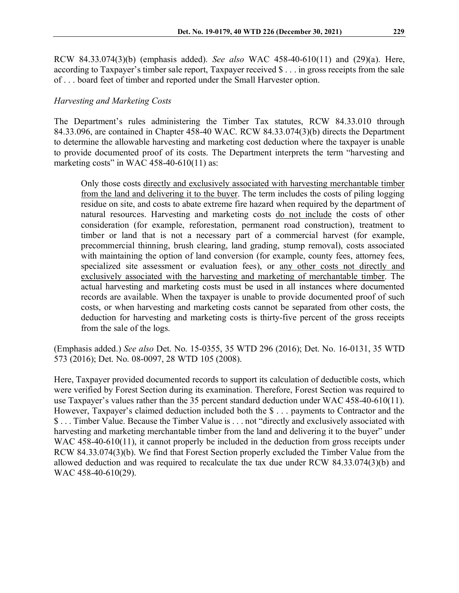RCW 84.33.074(3)(b) (emphasis added). *See also* WAC 458-40-610(11) and (29)(a). Here, according to Taxpayer's timber sale report, Taxpayer received \$ . . . in gross receipts from the sale of . . . board feet of timber and reported under the Small Harvester option.

## *Harvesting and Marketing Costs*

The Department's rules administering the Timber Tax statutes, RCW 84.33.010 through 84.33.096, are contained in Chapter 458-40 WAC. RCW 84.33.074(3)(b) directs the Department to determine the allowable harvesting and marketing cost deduction where the taxpayer is unable to provide documented proof of its costs. The Department interprets the term "harvesting and marketing costs" in WAC 458-40-610(11) as:

Only those costs directly and exclusively associated with harvesting merchantable timber from the land and delivering it to the buyer. The term includes the costs of piling logging residue on site, and costs to abate extreme fire hazard when required by the department of natural resources. Harvesting and marketing costs do not include the costs of other consideration (for example, reforestation, permanent road construction), treatment to timber or land that is not a necessary part of a commercial harvest (for example, precommercial thinning, brush clearing, land grading, stump removal), costs associated with maintaining the option of land conversion (for example, county fees, attorney fees, specialized site assessment or evaluation fees), or any other costs not directly and exclusively associated with the harvesting and marketing of merchantable timber. The actual harvesting and marketing costs must be used in all instances where documented records are available. When the taxpayer is unable to provide documented proof of such costs, or when harvesting and marketing costs cannot be separated from other costs, the deduction for harvesting and marketing costs is thirty-five percent of the gross receipts from the sale of the logs.

(Emphasis added.) *See also* Det. No. 15-0355, 35 WTD 296 (2016); Det. No. 16-0131, 35 WTD 573 (2016); Det. No. 08-0097, 28 WTD 105 (2008).

Here, Taxpayer provided documented records to support its calculation of deductible costs, which were verified by Forest Section during its examination. Therefore, Forest Section was required to use Taxpayer's values rather than the 35 percent standard deduction under WAC 458-40-610(11). However, Taxpayer's claimed deduction included both the \$ . . . payments to Contractor and the \$ . . . Timber Value. Because the Timber Value is . . . not "directly and exclusively associated with harvesting and marketing merchantable timber from the land and delivering it to the buyer" under WAC 458-40-610(11), it cannot properly be included in the deduction from gross receipts under RCW 84.33.074(3)(b). We find that Forest Section properly excluded the Timber Value from the allowed deduction and was required to recalculate the tax due under RCW 84.33.074(3)(b) and WAC 458-40-610(29).